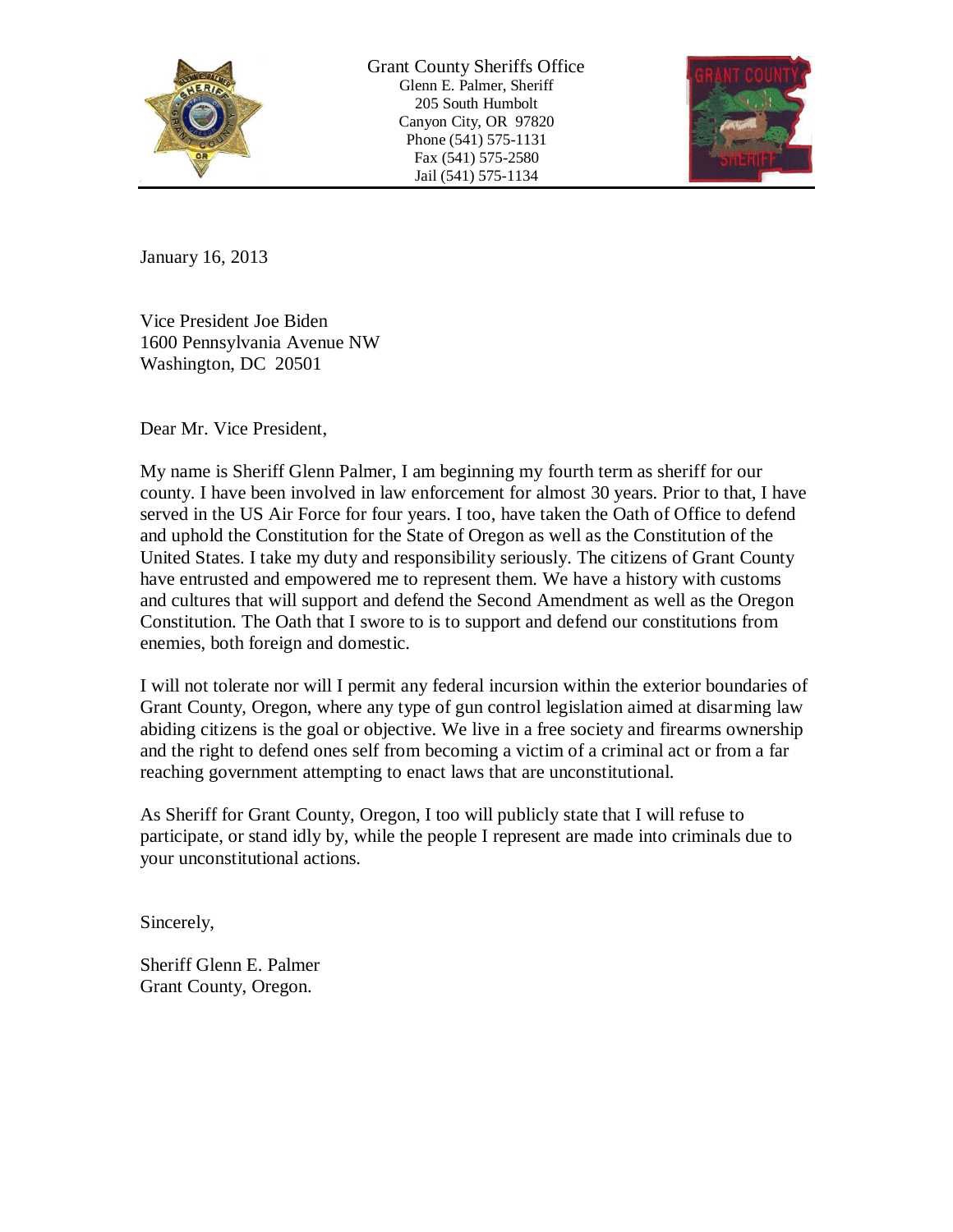

Grant County Sheriffs Office Glenn E. Palmer, Sheriff 205 South Humbolt Canyon City, OR 97820 Phone (541) 575-1131 Fax (541) 575-2580 Jail (541) 575-1134



January 16, 2013

Vice President Joe Biden 1600 Pennsylvania Avenue NW Washington, DC 20501

Dear Mr. Vice President,

My name is Sheriff Glenn Palmer, I am beginning my fourth term as sheriff for our county. I have been involved in law enforcement for almost 30 years. Prior to that, I have served in the US Air Force for four years. I too, have taken the Oath of Office to defend and uphold the Constitution for the State of Oregon as well as the Constitution of the United States. I take my duty and responsibility seriously. The citizens of Grant County have entrusted and empowered me to represent them. We have a history with customs and cultures that will support and defend the Second Amendment as well as the Oregon Constitution. The Oath that I swore to is to support and defend our constitutions from enemies, both foreign and domestic.

I will not tolerate nor will I permit any federal incursion within the exterior boundaries of Grant County, Oregon, where any type of gun control legislation aimed at disarming law abiding citizens is the goal or objective. We live in a free society and firearms ownership and the right to defend ones self from becoming a victim of a criminal act or from a far reaching government attempting to enact laws that are unconstitutional.

As Sheriff for Grant County, Oregon, I too will publicly state that I will refuse to participate, or stand idly by, while the people I represent are made into criminals due to your unconstitutional actions.

Sincerely,

Sheriff Glenn E. Palmer Grant County, Oregon.